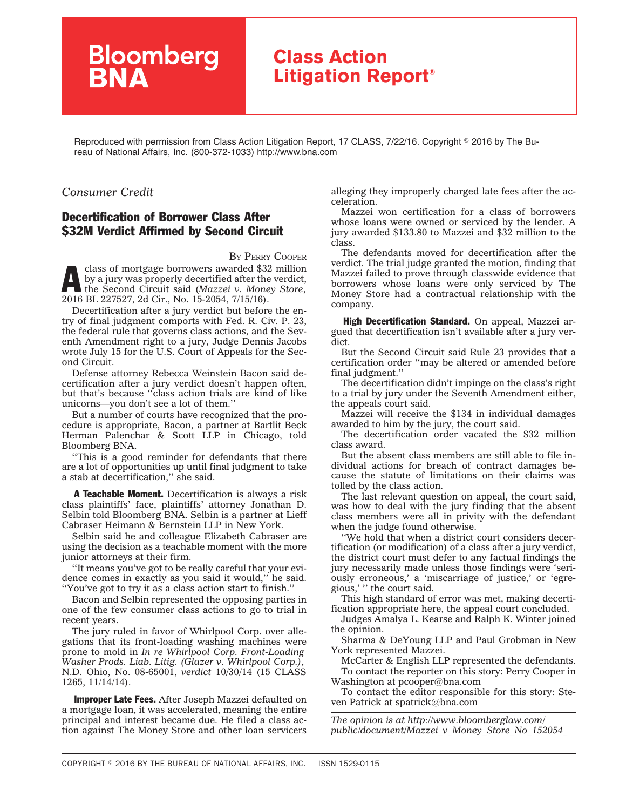## **Class Action Litigation Report®**

Reproduced with permission from Class Action Litigation Report, 17 CLASS, 7/22/16. Copyright © 2016 by The Bureau of National Affairs, Inc. (800-372-1033) http://www.bna.com

## *Consumer Credit*

## Decertification of Borrower Class After \$32M Verdict Affirmed by Second Circuit

**Bloomberg**<br>**BNA** 

BY PERRY [COOPER](mailto:pcooper@bna.com)

class of mortgage borrowers awarded \$32 million by a jury was properly decertified after the verdict, the Second Circuit said (*[Mazzei v. Money Store](http://www.bloomberglaw.com/public/document/Mazzei_v_Money_Store_No_152054_2016_BL_227527_2d_Cir_July_15_2016)*, 2016 BL 227527, 2d Cir., No. 15-2054, 7/15/16).

Decertification after a jury verdict but before the entry of final judgment comports with Fed. R. Civ. P. 23, the federal rule that governs class actions, and the Seventh Amendment right to a jury, Judge Dennis Jacobs wrote July 15 for the U.S. Court of Appeals for the Second Circuit.

Defense attorney Rebecca Weinstein Bacon said decertification after a jury verdict doesn't happen often, but that's because ''class action trials are kind of like unicorns—you don't see a lot of them.''

But a number of courts have recognized that the procedure is appropriate, Bacon, a partner at Bartlit Beck Herman Palenchar & Scott LLP in Chicago, told Bloomberg BNA.

''This is a good reminder for defendants that there are a lot of opportunities up until final judgment to take a stab at decertification,'' she said.

A Teachable Moment. Decertification is always a risk class plaintiffs' face, plaintiffs' attorney Jonathan D. Selbin told Bloomberg BNA. Selbin is a partner at Lieff Cabraser Heimann & Bernstein LLP in New York.

Selbin said he and colleague Elizabeth Cabraser are using the decision as a teachable moment with the more junior attorneys at their firm.

''It means you've got to be really careful that your evidence comes in exactly as you said it would,'' he said. ''You've got to try it as a class action start to finish.''

Bacon and Selbin represented the opposing parties in one of the few consumer class actions to go to trial in recent years.

The jury ruled in favor of Whirlpool Corp. over allegations that its front-loading washing machines were prone to mold in *In re Whirlpool Corp. Front-Loading Washer Prods. Liab. Litig. (Glazer v. Whirlpool Corp.)*, N.D. Ohio, No. 08-65001, *verdict* 10/30/14 (15 CLASS 1265, 11/14/14).

Improper Late Fees. After Joseph Mazzei defaulted on a mortgage loan, it was accelerated, meaning the entire principal and interest became due. He filed a class action against The Money Store and other loan servicers alleging they improperly charged late fees after the acceleration.

Mazzei won certification for a class of borrowers whose loans were owned or serviced by the lender. A jury awarded \$133.80 to Mazzei and \$32 million to the class.

The defendants moved for decertification after the verdict. The trial judge granted the motion, finding that Mazzei failed to prove through classwide evidence that borrowers whose loans were only serviced by The Money Store had a contractual relationship with the company.

High Decertification Standard. On appeal, Mazzei argued that decertification isn't available after a jury verdict.

But the Second Circuit said Rule 23 provides that a certification order ''may be altered or amended before final judgment.''

The decertification didn't impinge on the class's right to a trial by jury under the Seventh Amendment either, the appeals court said.

Mazzei will receive the \$134 in individual damages awarded to him by the jury, the court said.

The decertification order vacated the \$32 million class award.

But the absent class members are still able to file individual actions for breach of contract damages because the statute of limitations on their claims was tolled by the class action.

The last relevant question on appeal, the court said, was how to deal with the jury finding that the absent class members were all in privity with the defendant when the judge found otherwise.

''We hold that when a district court considers decertification (or modification) of a class after a jury verdict, the district court must defer to any factual findings the jury necessarily made unless those findings were 'seriously erroneous,' a 'miscarriage of justice,' or 'egregious,' '' the court said.

This high standard of error was met, making decertification appropriate here, the appeal court concluded.

Judges Amalya L. Kearse and Ralph K. Winter joined the opinion.

Sharma & DeYoung LLP and Paul Grobman in New York represented Mazzei.

McCarter & English LLP represented the defendants. To contact the reporter on this story: Perry Cooper in Washington at [pcooper@bna.com](mailto:pcooper@bna.com)

To contact the editor responsible for this story: Steven Patrick at [spatrick@bna.com](mailto:spatrick@bna.com)

*The opinion is at [http://www.bloomberglaw.com/](http://www.bloomberglaw.com/public/document/Mazzei_v_Money_Store_No_152054_2016_BL_227527_2d_Cir_July_15_2016) [public/document/Mazzei\\_v\\_Money\\_Store\\_No\\_152054\\_](http://www.bloomberglaw.com/public/document/Mazzei_v_Money_Store_No_152054_2016_BL_227527_2d_Cir_July_15_2016)*